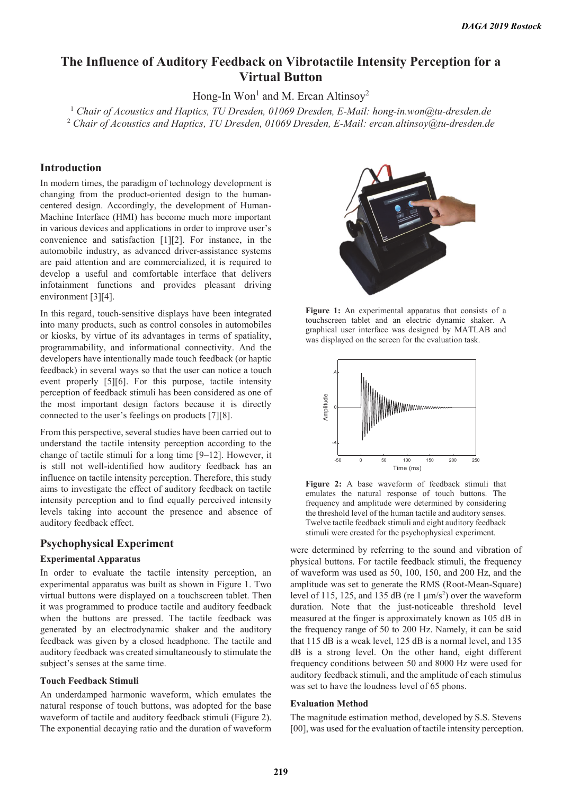# **The Influence of Auditory Feedback on Vibrotactile Intensity Perception for a Virtual Button**

Hong-In  $Won<sup>1</sup>$  and M. Ercan Altinsoy<sup>2</sup>

Hong-In Won<sup>1</sup> and M. Ercan Altinsoy<sup>2</sup><br><sup>1</sup> Chair of Acoustics and Haptics, TU Dresden, 01069 Dresden, E-Mail: hong-in.won@tu-dresden.de 2  *Chair of Acoustics and Haptics, TU Dresden, 01069 Dresden, E-Mail: ercan.altinsoy@tu-dresden.de* 

# **Introduction**

In modern times, the paradigm of technology development is changing from the product-oriented design to the humancentered design. Accordingly, the development of Human-Machine Interface (HMI) has become much more important in various devices and applications in order to improve user's convenience and satisfaction [1][2]. For instance, in the automobile industry, as advanced driver-assistance systems are paid attention and are commercialized, it is required to develop a useful and comfortable interface that delivers infotainment functions and provides pleasant driving environment [3][4].

In this regard, touch-sensitive displays have been integrated into many products, such as control consoles in automobiles or kiosks, by virtue of its advantages in terms of spatiality, programmability, and informational connectivity. And the developers have intentionally made touch feedback (or haptic feedback) in several ways so that the user can notice a touch event properly [5][6]. For this purpose, tactile intensity perception of feedback stimuli has been considered as one of the most important design factors because it is directly connected to the user's feelings on products [7][8].

From this perspective, several studies have been carried out to understand the tactile intensity perception according to the change of tactile stimuli for a long time [9–12]. However, it is still not well-identified how auditory feedback has an influence on tactile intensity perception. Therefore, this study aims to investigate the effect of auditory feedback on tactile intensity perception and to find equally perceived intensity levels taking into account the presence and absence of auditory feedback effect.

# **Psychophysical Experiment**

### **Experimental Apparatus**

In order to evaluate the tactile intensity perception, an experimental apparatus was built as shown in Figure 1. Two virtual buttons were displayed on a touchscreen tablet. Then it was programmed to produce tactile and auditory feedback when the buttons are pressed. The tactile feedback was generated by an electrodynamic shaker and the auditory feedback was given by a closed headphone. The tactile and auditory feedback was created simultaneously to stimulate the subject's senses at the same time.

#### **Touch Feedback Stimuli**

An underdamped harmonic waveform, which emulates the natural response of touch buttons, was adopted for the base waveform of tactile and auditory feedback stimuli (Figure 2). The exponential decaying ratio and the duration of waveform



**Figure 1:** An experimental apparatus that consists of a touchscreen tablet and an electric dynamic shaker. A graphical user interface was designed by MATLAB and was displayed on the screen for the evaluation task.



**Figure 2:** A base waveform of feedback stimuli that emulates the natural response of touch buttons. The frequency and amplitude were determined by considering the threshold level of the human tactile and auditory senses. Twelve tactile feedback stimuli and eight auditory feedback stimuli were created for the psychophysical experiment.

were determined by referring to the sound and vibration of physical buttons. For tactile feedback stimuli, the frequency of waveform was used as 50, 100, 150, and 200 Hz, and the amplitude was set to generate the RMS (Root-Mean-Square) level of 115, 125, and 135 dB (re 1  $\mu$ m/s<sup>2</sup>) over the waveform duration. Note that the just-noticeable threshold level measured at the finger is approximately known as 105 dB in the frequency range of 50 to 200 Hz. Namely, it can be said that 115 dB is a weak level, 125 dB is a normal level, and 135 dB is a strong level. On the other hand, eight different frequency conditions between 50 and 8000 Hz were used for auditory feedback stimuli, and the amplitude of each stimulus was set to have the loudness level of 65 phons.

#### **Evaluation Method**

The magnitude estimation method, developed by S.S. Stevens [00], was used for the evaluation of tactile intensity perception.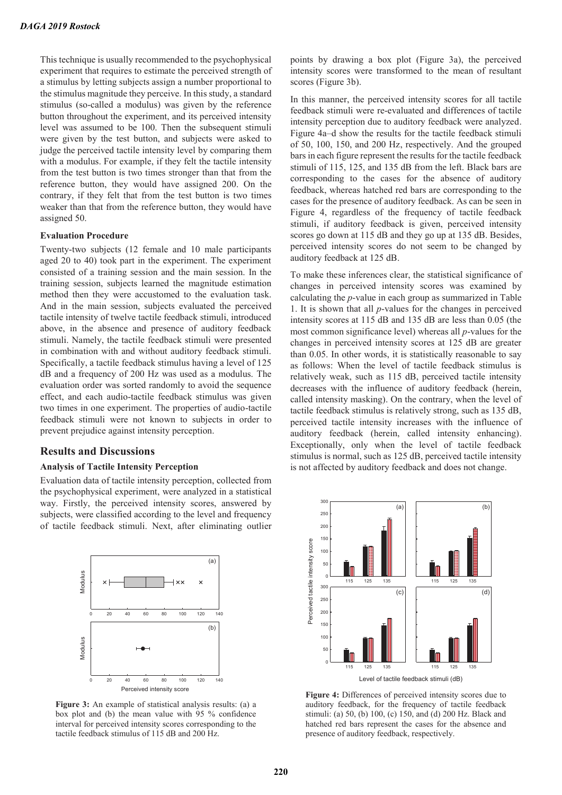This technique is usually recommended to the psychophysical experiment that requires to estimate the perceived strength of a stimulus by letting subjects assign a number proportional to the stimulus magnitude they perceive. In this study, a standard stimulus (so-called a modulus) was given by the reference button throughout the experiment, and its perceived intensity level was assumed to be 100. Then the subsequent stimuli were given by the test button, and subjects were asked to judge the perceived tactile intensity level by comparing them with a modulus. For example, if they felt the tactile intensity from the test button is two times stronger than that from the reference button, they would have assigned 200. On the contrary, if they felt that from the test button is two times weaker than that from the reference button, they would have assigned 50.

#### **Evaluation Procedure**

Twenty-two subjects (12 female and 10 male participants aged 20 to 40) took part in the experiment. The experiment consisted of a training session and the main session. In the training session, subjects learned the magnitude estimation method then they were accustomed to the evaluation task. And in the main session, subjects evaluated the perceived tactile intensity of twelve tactile feedback stimuli, introduced above, in the absence and presence of auditory feedback stimuli. Namely, the tactile feedback stimuli were presented in combination with and without auditory feedback stimuli. Specifically, a tactile feedback stimulus having a level of 125 dB and a frequency of 200 Hz was used as a modulus. The evaluation order was sorted randomly to avoid the sequence effect, and each audio-tactile feedback stimulus was given two times in one experiment. The properties of audio-tactile feedback stimuli were not known to subjects in order to prevent prejudice against intensity perception.

# **Results and Discussions**

#### **Analysis of Tactile Intensity Perception**

Evaluation data of tactile intensity perception, collected from the psychophysical experiment, were analyzed in a statistical way. Firstly, the perceived intensity scores, answered by subjects, were classified according to the level and frequency of tactile feedback stimuli. Next, after eliminating outlier



**Figure 3:** An example of statistical analysis results: (a) a box plot and (b) the mean value with 95 % confidence interval for perceived intensity scores corresponding to the tactile feedback stimulus of 115 dB and 200 Hz.

points by drawing a box plot (Figure 3a), the perceived intensity scores were transformed to the mean of resultant scores (Figure 3b).

In this manner, the perceived intensity scores for all tactile feedback stimuli were re-evaluated and differences of tactile intensity perception due to auditory feedback were analyzed. Figure 4a–d show the results for the tactile feedback stimuli of 50, 100, 150, and 200 Hz, respectively. And the grouped bars in each figure represent the results for the tactile feedback stimuli of 115, 125, and 135 dB from the left. Black bars are corresponding to the cases for the absence of auditory feedback, whereas hatched red bars are corresponding to the cases for the presence of auditory feedback. As can be seen in Figure 4, regardless of the frequency of tactile feedback stimuli, if auditory feedback is given, perceived intensity scores go down at 115 dB and they go up at 135 dB. Besides, perceived intensity scores do not seem to be changed by auditory feedback at 125 dB.

To make these inferences clear, the statistical significance of changes in perceived intensity scores was examined by calculating the *p*-value in each group as summarized in Table 1. It is shown that all *p*-values for the changes in perceived intensity scores at 115 dB and 135 dB are less than 0.05 (the most common significance level) whereas all *p*-values for the changes in perceived intensity scores at 125 dB are greater than 0.05. In other words, it is statistically reasonable to say as follows: When the level of tactile feedback stimulus is relatively weak, such as 115 dB, perceived tactile intensity decreases with the influence of auditory feedback (herein, called intensity masking). On the contrary, when the level of tactile feedback stimulus is relatively strong, such as 135 dB, perceived tactile intensity increases with the influence of auditory feedback (herein, called intensity enhancing). Exceptionally, only when the level of tactile feedback stimulus is normal, such as 125 dB, perceived tactile intensity is not affected by auditory feedback and does not change.



Figure 4: Differences of perceived intensity scores due to auditory feedback, for the frequency of tactile feedback stimuli: (a) 50, (b) 100, (c) 150, and (d) 200 Hz. Black and hatched red bars represent the cases for the absence and presence of auditory feedback, respectively.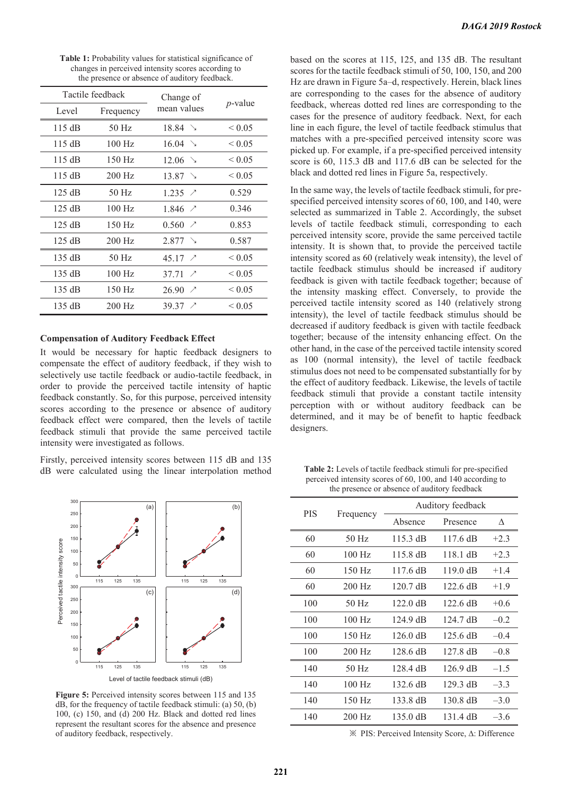| Tactile feedback |           | Change of                         |                  |
|------------------|-----------|-----------------------------------|------------------|
| Level            | Frequency | mean values                       | $p$ -value       |
| 115 dB           | 50 Hz     | 18.84 >                           | ${}_{\leq 0.05}$ |
| 115 dB           | $100$ Hz  | 16.04 >                           | ${}_{\leq 0.05}$ |
| 115 dB           | 150 Hz    | $12.06$ $\rightarrow$             | ${}_{\leq 0.05}$ |
| 115 dB           | 200 Hz    | 13.87 >                           | ${}_{\leq 0.05}$ |
| 125 dB           | 50 Hz     | 1.235 $\angle$                    | 0.529            |
| 125 dB           | $100$ Hz  | 1.846<br>$\overline{\phantom{a}}$ | 0.346            |
| 125 dB           | 150 Hz    | $0.560$ $\sqrt{ }$                | 0.853            |
| 125 dB           | 200 Hz    | $2.877$ $\searrow$                | 0.587            |
| 135 dB           | 50 Hz     | 45.17 $\angle$                    | ${}_{\leq 0.05}$ |
| 135 dB           | $100$ Hz  | $37.71 \times$                    | ${}_{\leq 0.05}$ |
| 135 dB           | 150 Hz    | 26.90<br>$\overline{\phantom{a}}$ | ${}_{\leq 0.05}$ |
| 135 dB           | 200 Hz    | $39.37 \times$                    | ${}_{\leq 0.05}$ |

**Table 1:** Probability values for statistical significance of changes in perceived intensity scores according to the presence or absence of auditory feedback.

#### **Compensation of Auditory Feedback Effect**

It would be necessary for haptic feedback designers to compensate the effect of auditory feedback, if they wish to selectively use tactile feedback or audio-tactile feedback, in order to provide the perceived tactile intensity of haptic feedback constantly. So, for this purpose, perceived intensity scores according to the presence or absence of auditory feedback effect were compared, then the levels of tactile feedback stimuli that provide the same perceived tactile intensity were investigated as follows.

Firstly, perceived intensity scores between 115 dB and 135 dB were calculated using the linear interpolation method



Figure 5: Perceived intensity scores between 115 and 135 dB, for the frequency of tactile feedback stimuli: (a) 50, (b) 100, (c) 150, and (d) 200 Hz. Black and dotted red lines represent the resultant scores for the absence and presence of auditory feedback, respectively.

based on the scores at 115, 125, and 135 dB. The resultant scores for the tactile feedback stimuli of 50, 100, 150, and 200 Hz are drawn in Figure 5a–d, respectively. Herein, black lines are corresponding to the cases for the absence of auditory feedback, whereas dotted red lines are corresponding to the cases for the presence of auditory feedback. Next, for each line in each figure, the level of tactile feedback stimulus that matches with a pre-specified perceived intensity score was picked up. For example, if a pre-specified perceived intensity score is 60, 115.3 dB and 117.6 dB can be selected for the black and dotted red lines in Figure 5a, respectively.

In the same way, the levels of tactile feedback stimuli, for prespecified perceived intensity scores of 60, 100, and 140, were selected as summarized in Table 2. Accordingly, the subset levels of tactile feedback stimuli, corresponding to each perceived intensity score, provide the same perceived tactile intensity. It is shown that, to provide the perceived tactile intensity scored as 60 (relatively weak intensity), the level of tactile feedback stimulus should be increased if auditory feedback is given with tactile feedback together; because of the intensity masking effect. Conversely, to provide the perceived tactile intensity scored as 140 (relatively strong intensity), the level of tactile feedback stimulus should be decreased if auditory feedback is given with tactile feedback together; because of the intensity enhancing effect. On the other hand, in the case of the perceived tactile intensity scored as 100 (normal intensity), the level of tactile feedback stimulus does not need to be compensated substantially for by the effect of auditory feedback. Likewise, the levels of tactile feedback stimuli that provide a constant tactile intensity perception with or without auditory feedback can be determined, and it may be of benefit to haptic feedback designers.

**Table 2:** Levels of tactile feedback stimuli for pre-specified perceived intensity scores of 60, 100, and 140 according to the presence or absence of auditory feedback

| <b>PIS</b> |           | Auditory feedback  |                    |        |  |
|------------|-----------|--------------------|--------------------|--------|--|
|            | Frequency | Absence            | Presence           | Λ      |  |
| 60         | $50$ Hz   | $115.3 \text{ dB}$ | $117.6 \text{ dB}$ | $+2.3$ |  |
| 60         | $100$ Hz  | 115.8 dB           | $118.1 \text{ dB}$ | $+2.3$ |  |
| 60         | $150$ Hz  | $117.6 \text{ dB}$ | $119.0 \text{ dB}$ | $+1.4$ |  |
| 60         | 200 Hz    | 120.7 dB           | 122.6 dB           | $+1.9$ |  |
| 100        | $50$ Hz   | $122.0 \text{ dB}$ | $122.6 \text{ dB}$ | $+0.6$ |  |
| 100        | $100$ Hz  | 124.9 dB           | $124.7 \text{ dB}$ | $-0.2$ |  |
| 100        | $150$ Hz  | $126.0 \text{ dB}$ | $125.6 \text{ dB}$ | $-0.4$ |  |
| 100        | $200$ Hz  | 128.6 dB           | $127.8 \text{ dB}$ | $-0.8$ |  |
| 140        | $50$ Hz   | $128.4 \text{ dB}$ | $126.9 \text{ dB}$ | $-1.5$ |  |
| 140        | $100$ Hz  | $132.6 \text{ dB}$ | $129.3 \text{ dB}$ | $-3.3$ |  |
| 140        | 150 Hz    | 133.8 dB           | $130.8 \text{ dB}$ | $-3.0$ |  |
| 140        | $200$ Hz  | 135.0 dB           | 131.4 dB           | $-3.6$ |  |

Ȅ PIS: Perceived Intensity Score, ∆: Difference